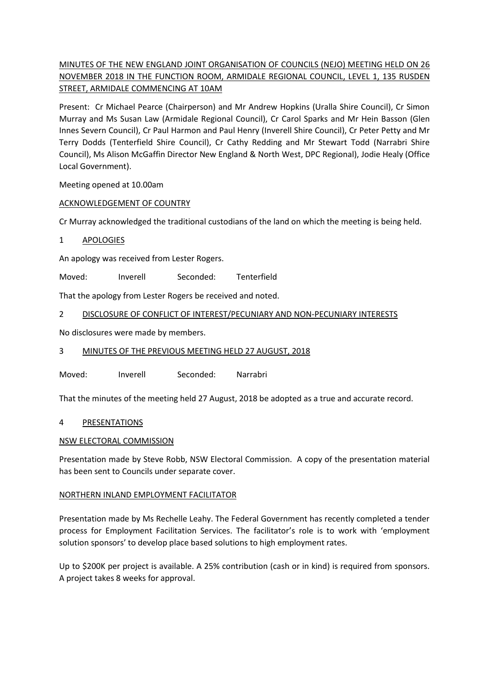# MINUTES OF THE NEW ENGLAND JOINT ORGANISATION OF COUNCILS (NEJO) MEETING HELD ON 26 NOVEMBER 2018 IN THE FUNCTION ROOM, ARMIDALE REGIONAL COUNCIL, LEVEL 1, 135 RUSDEN STREET, ARMIDALE COMMENCING AT 10AM

Present: Cr Michael Pearce (Chairperson) and Mr Andrew Hopkins (Uralla Shire Council), Cr Simon Murray and Ms Susan Law (Armidale Regional Council), Cr Carol Sparks and Mr Hein Basson (Glen Innes Severn Council), Cr Paul Harmon and Paul Henry (Inverell Shire Council), Cr Peter Petty and Mr Terry Dodds (Tenterfield Shire Council), Cr Cathy Redding and Mr Stewart Todd (Narrabri Shire Council), Ms Alison McGaffin Director New England & North West, DPC Regional), Jodie Healy (Office Local Government).

Meeting opened at 10.00am

## ACKNOWLEDGEMENT OF COUNTRY

Cr Murray acknowledged the traditional custodians of the land on which the meeting is being held.

## 1 APOLOGIES

An apology was received from Lester Rogers.

Moved: Inverell Seconded: Tenterfield

That the apology from Lester Rogers be received and noted.

## 2 DISCLOSURE OF CONFLICT OF INTEREST/PECUNIARY AND NON-PECUNIARY INTERESTS

No disclosures were made by members.

#### 3 MINUTES OF THE PREVIOUS MEETING HELD 27 AUGUST, 2018

Moved: Inverell Seconded: Narrabri

That the minutes of the meeting held 27 August, 2018 be adopted as a true and accurate record.

#### 4 PRESENTATIONS

#### NSW ELECTORAL COMMISSION

Presentation made by Steve Robb, NSW Electoral Commission. A copy of the presentation material has been sent to Councils under separate cover.

#### NORTHERN INLAND EMPLOYMENT FACILITATOR

Presentation made by Ms Rechelle Leahy. The Federal Government has recently completed a tender process for Employment Facilitation Services. The facilitator's role is to work with 'employment solution sponsors' to develop place based solutions to high employment rates.

Up to \$200K per project is available. A 25% contribution (cash or in kind) is required from sponsors. A project takes 8 weeks for approval.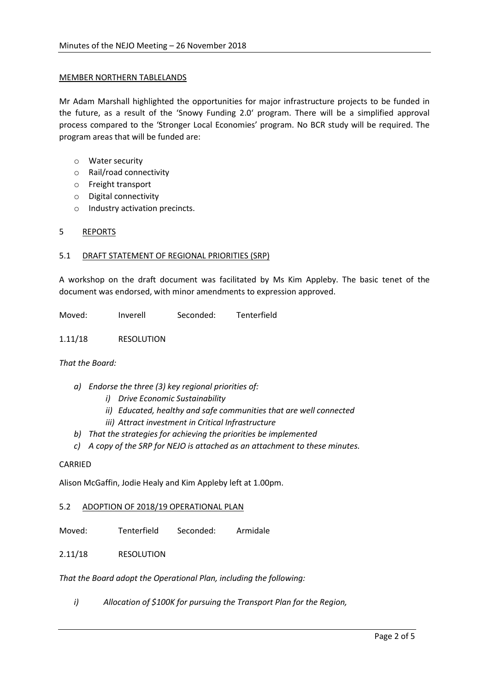#### MEMBER NORTHERN TABLELANDS

Mr Adam Marshall highlighted the opportunities for major infrastructure projects to be funded in the future, as a result of the 'Snowy Funding 2.0' program. There will be a simplified approval process compared to the 'Stronger Local Economies' program. No BCR study will be required. The program areas that will be funded are:

- o Water security
- o Rail/road connectivity
- o Freight transport
- o Digital connectivity
- o Industry activation precincts.

## 5 REPORTS

## 5.1 DRAFT STATEMENT OF REGIONAL PRIORITIES (SRP)

A workshop on the draft document was facilitated by Ms Kim Appleby. The basic tenet of the document was endorsed, with minor amendments to expression approved.

Moved: Inverell Seconded: Tenterfield

1.11/18 RESOLUTION

#### *That the Board:*

- *a) Endorse the three (3) key regional priorities of:*
	- *i) Drive Economic Sustainability*
	- *ii) Educated, healthy and safe communities that are well connected*
	- *iii) Attract investment in Critical Infrastructure*
- *b) That the strategies for achieving the priorities be implemented*
- *c) A copy of the SRP for NEJO is attached as an attachment to these minutes.*

## CARRIED

Alison McGaffin, Jodie Healy and Kim Appleby left at 1.00pm.

#### 5.2 ADOPTION OF 2018/19 OPERATIONAL PLAN

Moved: Tenterfield Seconded: Armidale

# 2.11/18 RESOLUTION

*That the Board adopt the Operational Plan, including the following:*

*i) Allocation of \$100K for pursuing the Transport Plan for the Region,*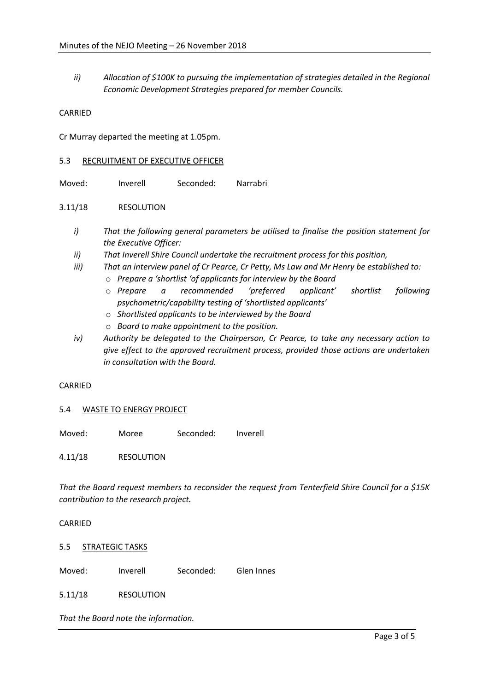*ii) Allocation of \$100K to pursuing the implementation of strategies detailed in the Regional Economic Development Strategies prepared for member Councils.*

CARRIED

Cr Murray departed the meeting at 1.05pm.

#### 5.3 RECRUITMENT OF EXECUTIVE OFFICER

Moved: Inverell Seconded: Narrabri

#### 3.11/18 RESOLUTION

- *i) That the following general parameters be utilised to finalise the position statement for the Executive Officer:*
- *ii) That Inverell Shire Council undertake the recruitment process for this position,*
- *iii) That an interview panel of Cr Pearce, Cr Petty, Ms Law and Mr Henry be established to:*
	- o *Prepare a 'shortlist 'of applicants for interview by the Board*
	- o *Prepare a recommended 'preferred applicant' shortlist following psychometric/capability testing of 'shortlisted applicants'*
	- o *Shortlisted applicants to be interviewed by the Board*
	- o *Board to make appointment to the position.*
- *iv) Authority be delegated to the Chairperson, Cr Pearce, to take any necessary action to give effect to the approved recruitment process, provided those actions are undertaken in consultation with the Board.*

#### CARRIED

#### 5.4 WASTE TO ENERGY PROJECT

Moved: Moree Seconded: Inverell

4.11/18 RESOLUTION

*That the Board request members to reconsider the request from Tenterfield Shire Council for a \$15K contribution to the research project.* 

#### CARRIED

5.5 STRATEGIC TASKS

Moved: Inverell Seconded: Glen Innes

5.11/18 RESOLUTION

*That the Board note the information.*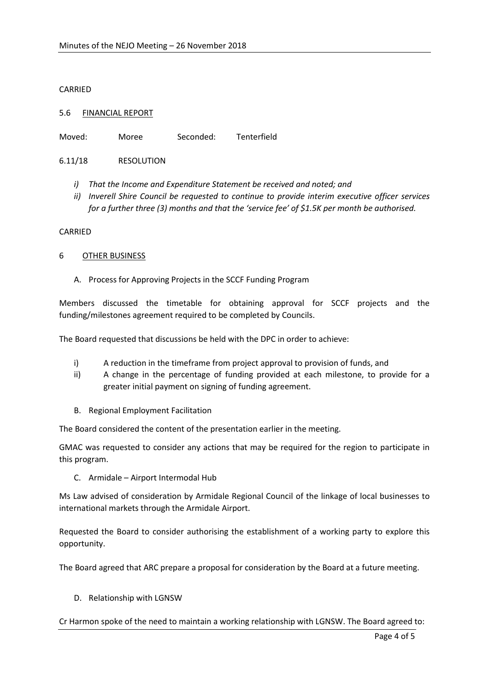### CARRIED

### 5.6 FINANCIAL REPORT

Moved: Moree Seconded: Tenterfield

## 6.11/18 RESOLUTION

- *i) That the Income and Expenditure Statement be received and noted; and*
- *ii) Inverell Shire Council be requested to continue to provide interim executive officer services for a further three (3) months and that the 'service fee' of \$1.5K per month be authorised.*

#### CARRIED

#### 6 OTHER BUSINESS

A. Process for Approving Projects in the SCCF Funding Program

Members discussed the timetable for obtaining approval for SCCF projects and the funding/milestones agreement required to be completed by Councils.

The Board requested that discussions be held with the DPC in order to achieve:

- i) A reduction in the timeframe from project approval to provision of funds, and
- ii) A change in the percentage of funding provided at each milestone, to provide for a greater initial payment on signing of funding agreement.
- B. Regional Employment Facilitation

The Board considered the content of the presentation earlier in the meeting.

GMAC was requested to consider any actions that may be required for the region to participate in this program.

C. Armidale – Airport Intermodal Hub

Ms Law advised of consideration by Armidale Regional Council of the linkage of local businesses to international markets through the Armidale Airport.

Requested the Board to consider authorising the establishment of a working party to explore this opportunity.

The Board agreed that ARC prepare a proposal for consideration by the Board at a future meeting.

D. Relationship with LGNSW

Cr Harmon spoke of the need to maintain a working relationship with LGNSW. The Board agreed to: